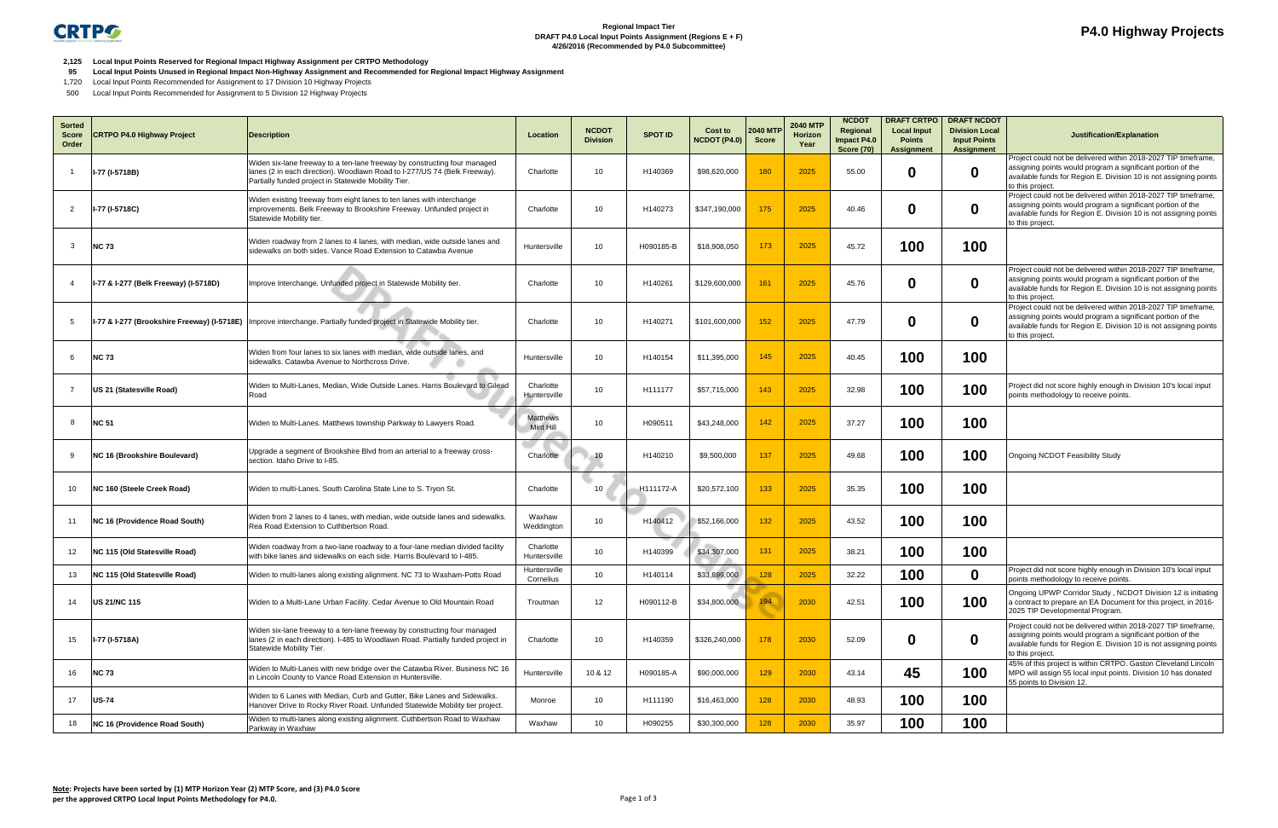

## **P4.0 Highway Projects**

**2,125 Local Input Points Reserved for Regional Impact Highway Assignment per CRTPO Methodology**

- **95 Local Input Points Unused in Regional Impact Non-Highway Assignment and Recommended for Regional Impact Highway Assignment**
- 1,720 Local Input Points Recommended for Assignment to 17 Division 10 Highway Projects
- 500 Local Input Points Recommended for Assignment to 5 Division 12 Highway Projects

| <b>Sorted</b><br><b>Score</b><br>Order | <b>CRTPO P4.0 Highway Project</b>           | <b>Description</b>                                                                                                                                                                                             | Location                  | <b>NCDOT</b><br><b>Division</b> | <b>SPOT ID</b> | Cost to<br><b>NCDOT (P4.0)</b> | <b>2040 MTP</b><br><b>Score</b> | <b>2040 MTP</b><br>Horizon<br>Year | <b>NCDOT</b><br>Regional<br>Impact P4.0<br><b>Score (70)</b> | <b>DRAFT CRTPO</b><br><b>Local Input</b><br><b>Points</b><br><b>Assignment</b> | <b>DRAFT NCDOT</b><br><b>Division Local</b><br><b>Input Points</b><br>Assignment | Justification/Explanation                                                                                                                                                                                              |
|----------------------------------------|---------------------------------------------|----------------------------------------------------------------------------------------------------------------------------------------------------------------------------------------------------------------|---------------------------|---------------------------------|----------------|--------------------------------|---------------------------------|------------------------------------|--------------------------------------------------------------|--------------------------------------------------------------------------------|----------------------------------------------------------------------------------|------------------------------------------------------------------------------------------------------------------------------------------------------------------------------------------------------------------------|
|                                        | I-77 (I-5718B)                              | Widen six-lane freeway to a ten-lane freeway by constructing four managed<br>lanes (2 in each direction). Woodlawn Road to I-277/US 74 (Belk Freeway).<br>Partially funded project in Statewide Mobility Tier. | Charlotte                 | 10                              | H140369        | \$98,620,000                   | 180                             | 2025                               | 55.00                                                        | 0                                                                              | $\mathbf 0$                                                                      | Project could not be delivered within 2018-2027 TIP timeframe,<br>assigning points would program a significant portion of the<br>available funds for Region E. Division 10 is not assigning points<br>to this project. |
| 2                                      | I-77 (I-5718C)                              | Widen existing freeway from eight lanes to ten lanes with interchange<br>improvements. Belk Freeway to Brookshire Freeway. Unfunded project in<br>Statewide Mobility tier.                                     | Charlotte                 | 10 <sup>°</sup>                 | H140273        | \$347,190,000                  | 175                             | 2025                               | 40.46                                                        | 0                                                                              | $\mathbf 0$                                                                      | Project could not be delivered within 2018-2027 TIP timeframe,<br>assigning points would program a significant portion of the<br>available funds for Region E. Division 10 is not assigning points<br>to this project. |
| -3                                     | <b>NC 73</b>                                | Widen roadway from 2 lanes to 4 lanes, with median, wide outside lanes and<br>sidewalks on both sides. Vance Road Extension to Catawba Avenue                                                                  | Huntersville              | 10 <sup>°</sup>                 | H090185-B      | \$18,908,050                   | 173                             | 2025                               | 45.72                                                        | 100                                                                            | 100                                                                              |                                                                                                                                                                                                                        |
|                                        | I-77 & I-277 (Belk Freeway) (I-5718D)       | Improve Interchange. Unfunded project in Statewide Mobility tier.                                                                                                                                              | Charlotte                 | 10                              | H140261        | \$129,600,000                  | 161                             | 2025                               | 45.76                                                        | 0                                                                              | $\mathbf 0$                                                                      | Project could not be delivered within 2018-2027 TIP timeframe,<br>assigning points would program a significant portion of the<br>available funds for Region E. Division 10 is not assigning points<br>to this project. |
| -5                                     | I-77 & I-277 (Brookshire Freeway) (I-5718E) | Improve interchange. Partially funded project in Statewide Mobility tier.                                                                                                                                      | Charlotte                 | 10 <sup>°</sup>                 | H140271        | \$101,600,000                  | 152                             | 2025                               | 47.79                                                        | 0                                                                              | $\boldsymbol{0}$                                                                 | Project could not be delivered within 2018-2027 TIP timeframe,<br>assigning points would program a significant portion of the<br>available funds for Region E. Division 10 is not assigning points<br>to this project. |
| -6                                     | <b>NC 73</b>                                | Widen from four lanes to six lanes with median, wide outside lanes, and<br>sidewalks. Catawba Avenue to Northcross Drive.                                                                                      | Huntersville              | 10 <sup>°</sup>                 | H140154        | \$11,395,000                   | 145                             | 2025                               | 40.45                                                        | 100                                                                            | 100                                                                              |                                                                                                                                                                                                                        |
|                                        | US 21 (Statesville Road)                    | Widen to Multi-Lanes, Median, Wide Outside Lanes. Harris Boulevard to Gilead<br>Road                                                                                                                           | Charlotte<br>Huntersville | 10 <sup>1</sup>                 | H111177        | \$57,715,000                   | 143                             | 2025                               | 32.98                                                        | 100                                                                            | 100                                                                              | Project did not score highly enough in Division 10's local input<br>points methodology to receive points.                                                                                                              |
| 8                                      | <b>NC 51</b>                                | Widen to Multi-Lanes. Matthews township Parkway to Lawyers Road.                                                                                                                                               | Matthews<br>Mint Hill     | 10 <sup>1</sup>                 | H090511        | \$43,248,000                   | 142                             | 2025                               | 37.27                                                        | 100                                                                            | 100                                                                              |                                                                                                                                                                                                                        |
| -9                                     | NC 16 (Brookshire Boulevard)                | Upgrade a segment of Brookshire Blvd from an arterial to a freeway cross-<br>section. Idaho Drive to I-85.                                                                                                     | Charlotte                 | 10                              | H140210        | \$9,500,000                    | 137                             | 2025                               | 49.68                                                        | 100                                                                            | 100                                                                              | Ongoing NCDOT Feasibility Study                                                                                                                                                                                        |
| 10                                     | NC 160 (Steele Creek Road)                  | Widen to multi-Lanes. South Carolina State Line to S. Tryon St.                                                                                                                                                | Charlotte                 | 10                              | H111172-A      | \$20,572,100                   | 133                             | 2025                               | 35.35                                                        | 100                                                                            | 100                                                                              |                                                                                                                                                                                                                        |
| 11                                     | NC 16 (Providence Road South)               | Widen from 2 lanes to 4 lanes, with median, wide outside lanes and sidewalks<br>Rea Road Extension to Cuthbertson Road.                                                                                        | Waxhaw<br>Weddington      | 10 <sup>1</sup>                 | H140412        | \$52,166,000                   | 132                             | 2025                               | 43.52                                                        | 100                                                                            | 100                                                                              |                                                                                                                                                                                                                        |
| 12                                     | NC 115 (Old Statesville Road)               | Widen roadway from a two-lane roadway to a four-lane median divided facility<br>with bike lanes and sidewalks on each side. Harris Boulevard to I-485.                                                         | Charlotte<br>Huntersville | 10 <sup>°</sup>                 | H140399        | \$34,307,000                   | 131                             | 2025                               | 38.21                                                        | 100                                                                            | 100                                                                              |                                                                                                                                                                                                                        |
| 13                                     | NC 115 (Old Statesville Road)               | Widen to multi-lanes along existing alignment. NC 73 to Washam-Potts Road                                                                                                                                      | Huntersville<br>Cornelius | 10 <sup>1</sup>                 | H140114        | \$33,899,000                   | 128                             | 2025                               | 32.22                                                        | 100                                                                            | $\mathbf 0$                                                                      | Project did not score highly enough in Division 10's local input<br>points methodology to receive points.                                                                                                              |
| 14                                     | <b>US 21/NC 115</b>                         | Widen to a Multi-Lane Urban Facility. Cedar Avenue to Old Mountain Road                                                                                                                                        | Troutman                  | 12                              | H090112-B      | \$34,800,000                   | 194                             | 2030                               | 42.51                                                        | 100                                                                            | 100                                                                              | Ongoing UPWP Corridor Study, NCDOT Division 12 is initiating<br>a contract to prepare an EA Document for this project, in 2016-<br>2025 TIP Developmental Program.                                                     |
| 15                                     | I-77 (I-5718A)                              | Widen six-lane freeway to a ten-lane freeway by constructing four managed<br>lanes (2 in each direction). I-485 to Woodlawn Road. Partially funded project in<br>Statewide Mobility Tier.                      | Charlotte                 | 10 <sup>1</sup>                 | H140359        | \$326,240,000                  | 178                             | 2030                               | 52.09                                                        | 0                                                                              | 0                                                                                | Project could not be delivered within 2018-2027 TIP timeframe,<br>assigning points would program a significant portion of the<br>available funds for Region E. Division 10 is not assigning points<br>to this project. |
| 16                                     | <b>NC 73</b>                                | Widen to Multi-Lanes with new bridge over the Catawba River. Business NC 16<br>in Lincoln County to Vance Road Extension in Huntersville.                                                                      | Huntersville              | 10 & 12                         | H090185-A      | \$90,000,000                   | 129                             | 2030                               | 43.14                                                        | 45                                                                             | 100                                                                              | 45% of this project is within CRTPO. Gaston Cleveland Lincoln<br>MPO will assign 55 local input points. Division 10 has donated<br>55 points to Division 12.                                                           |
| 17                                     | <b>US-74</b>                                | Widen to 6 Lanes with Median, Curb and Gutter, Bike Lanes and Sidewalks.<br>Hanover Drive to Rocky River Road. Unfunded Statewide Mobility tier project.                                                       | Monroe                    | 10 <sup>°</sup>                 | H111190        | \$16,463,000                   | 128                             | 2030                               | 48.93                                                        | 100                                                                            | 100                                                                              |                                                                                                                                                                                                                        |
| 18                                     | NC 16 (Providence Road South)               | Widen to multi-lanes along existing alignment. Cuthbertson Road to Waxhaw<br>Parkway in Waxhaw                                                                                                                 | Waxhaw                    | 10 <sup>1</sup>                 | H090255        | \$30,300,000                   | 128                             | 2030                               | 35.97                                                        | 100                                                                            | 100                                                                              |                                                                                                                                                                                                                        |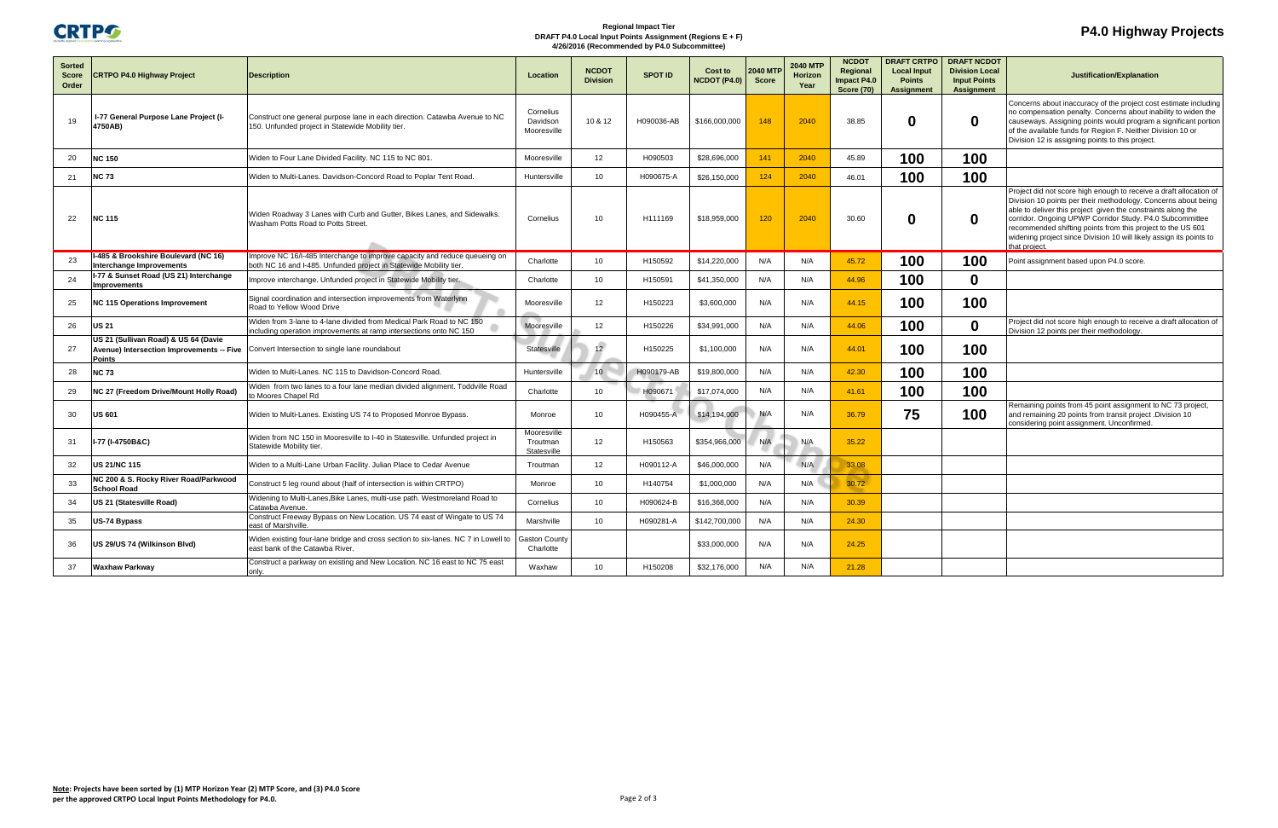

## **Regional Impact Tier DRAFT P4.0 Local Input Points Assignment (Regions E + F) 4/26/2016 (Recommended by P4.0 Subcommittee)**

## **P4.0 Highway Projects**

|                               |                                                                                             | <b>NCDOT</b><br><b>DRAFT CRTPO</b>                                                                                                               |                                        |                 |                |                     |                | <b>DRAFT NCDOT</b>         |                                  |                            |                                          |                                                                                                                                                                                                                                                                                                                                                                                                                         |
|-------------------------------|---------------------------------------------------------------------------------------------|--------------------------------------------------------------------------------------------------------------------------------------------------|----------------------------------------|-----------------|----------------|---------------------|----------------|----------------------------|----------------------------------|----------------------------|------------------------------------------|-------------------------------------------------------------------------------------------------------------------------------------------------------------------------------------------------------------------------------------------------------------------------------------------------------------------------------------------------------------------------------------------------------------------------|
| <b>Sorted</b><br><b>Score</b> | <b>CRTPO P4.0 Highway Project</b>                                                           | <b>Description</b>                                                                                                                               | Location                               | <b>NCDOT</b>    | <b>SPOT ID</b> | Cost to             | <b>2040 MT</b> | <b>2040 MTF</b><br>Horizon | Regional                         | <b>Local Input</b>         | <b>Division Local</b>                    | Justification/Explanation                                                                                                                                                                                                                                                                                                                                                                                               |
| Order                         |                                                                                             |                                                                                                                                                  |                                        | <b>Division</b> |                | <b>NCDOT (P4.0)</b> | <b>Score</b>   | Year                       | Impact P4.0<br><b>Score (70)</b> | <b>Points</b><br>Assignmen | <b>Input Points</b><br><b>Assignment</b> |                                                                                                                                                                                                                                                                                                                                                                                                                         |
| 19                            | I-77 General Purpose Lane Project (I-<br>4750AB)                                            | Construct one general purpose lane in each direction. Catawba Avenue to NC<br>150. Unfunded project in Statewide Mobility tier.                  | Cornelius<br>Davidson<br>Mooresville   | 10 & 12         | H090036-AB     | \$166,000,000       | 148            | 2040                       | 38.85                            | 0                          | $\bf{0}$                                 | Concerns about inaccuracy of the project cost estimate including<br>no compensation penalty. Concerns about inability to widen the<br>causeways. Assigning points would program a significant portion<br>of the available funds for Region F. Neither Division 10 or<br>Division 12 is assigning points to this project.                                                                                                |
| 20                            | <b>NC 150</b>                                                                               | Widen to Four Lane Divided Facility. NC 115 to NC 801.                                                                                           | Mooresville                            | 12              | H090503        | \$28,696,000        | 141            | 2040                       | 45.89                            | 100                        | 100                                      |                                                                                                                                                                                                                                                                                                                                                                                                                         |
| 21                            | <b>NC 73</b>                                                                                | Widen to Multi-Lanes. Davidson-Concord Road to Poplar Tent Road.                                                                                 | Huntersville                           | 10 <sup>1</sup> | H090675-A      | \$26,150,000        | 124            | 2040                       | 46.01                            | 100                        | 100                                      |                                                                                                                                                                                                                                                                                                                                                                                                                         |
| 22                            | <b>NC 115</b>                                                                               | Widen Roadway 3 Lanes with Curb and Gutter, Bikes Lanes, and Sidewalks.<br>Washam Potts Road to Potts Street                                     | Cornelius                              | 10              | H111169        | \$18,959,000        | 120            | 2040                       | 30.60                            |                            | 0                                        | Project did not score high enough to receive a draft allocation of<br>Division 10 points per their methodology. Concerns about being<br>able to deliver this project given the constraints along the<br>corridor. Ongoing UPWP Corridor Study. P4.0 Subcommittee<br>recommended shifting points from this project to the US 601<br>widening project since Division 10 will likely assign its points to<br>that project. |
| 23                            | I-485 & Brookshire Boulevard (NC 16)<br>Interchange Improvements                            | Improve NC 16/I-485 Interchange to improve capacity and reduce queueing on<br>both NC 16 and I-485. Unfunded project in Statewide Mobility tier. | Charlotte                              | 10 <sup>°</sup> | H150592        | \$14,220,000        | N/A            | N/A                        | 45.72                            | 100                        | 100                                      | Point assignment based upon P4.0 score.                                                                                                                                                                                                                                                                                                                                                                                 |
| 24                            | I-77 & Sunset Road (US 21) Interchange<br><b>Improvements</b>                               | Improve interchange. Unfunded project in Statewide Mobility tier.                                                                                | Charlotte                              | 10 <sup>1</sup> | H150591        | \$41,350,000        | N/A            | N/A                        | 44.96                            | 100                        | $\mathbf 0$                              |                                                                                                                                                                                                                                                                                                                                                                                                                         |
| 25                            | <b>NC 115 Operations Improvement</b>                                                        | Signal coordination and intersection improvements from Waterlynn<br>Road to Yellow Wood Drive                                                    | Mooresville                            | 12              | H150223        | \$3,600,000         | N/A            | N/A                        | 44.15                            | 100                        | 100                                      |                                                                                                                                                                                                                                                                                                                                                                                                                         |
| 26                            | <b>US 21</b>                                                                                | Widen from 3-lane to 4-lane divided from Medical Park Road to NC 150<br>including operation improvements at ramp intersections onto NC 150       | Mooresville                            | 12              | H150226        | \$34,991,000        | N/A            | N/A                        | 44.06                            | 100                        | $\mathbf{0}$                             | Project did not score high enough to receive a draft allocation of<br>Division 12 points per their methodology.                                                                                                                                                                                                                                                                                                         |
| 27                            | US 21 (Sullivan Road) & US 64 (Davie<br>Avenue) Intersection Improvements -- Five<br>Points | Convert Intersection to single lane roundabout                                                                                                   | <b>Statesville</b>                     | 12 <sup>2</sup> | H150225        | \$1,100,000         | N/A            | N/A                        | 44.01                            | 100                        | 100                                      |                                                                                                                                                                                                                                                                                                                                                                                                                         |
| 28                            | <b>NC 73</b>                                                                                | Widen to Multi-Lanes. NC 115 to Davidson-Concord Road.                                                                                           | Huntersville                           | 10 <sup>1</sup> | H090179-AB     | \$19,800,000        | N/A            | N/A                        | 42.30                            | 100                        | 100                                      |                                                                                                                                                                                                                                                                                                                                                                                                                         |
| 29                            | NC 27 (Freedom Drive/Mount Holly Road)                                                      | Widen from two lanes to a four lane median divided alignment. Toddville Road<br>o Moores Chapel Rd                                               | Charlotte                              | 10 <sup>1</sup> | H090671        | \$17,074,000        | N/A            | N/A                        | 41.61                            | 100                        | 100                                      |                                                                                                                                                                                                                                                                                                                                                                                                                         |
| 30                            | US 601                                                                                      | Widen to Multi-Lanes. Existing US 74 to Proposed Monroe Bypass.                                                                                  | Monroe                                 | 10              | H090455-A      | \$14,194,000        | N/A            | N/A                        | 36.79                            | 75                         | 100                                      | Remaining points from 45 point assignment to NC 73 project,<br>and remaining 20 points from transit project . Division 10<br>considering point assignment. Unconfirmed.                                                                                                                                                                                                                                                 |
| 31                            | I-77 (I-4750B&C)                                                                            | Widen from NC 150 in Mooresville to I-40 in Statesville. Unfunded project in<br>Statewide Mobility tier.                                         | Mooresville<br>Troutman<br>Statesville | 12              | H150563        | \$354,966,000       | N/A            | N/A                        | 35.22                            |                            |                                          |                                                                                                                                                                                                                                                                                                                                                                                                                         |
| 32                            | US 21/NC 115                                                                                | Widen to a Multi-Lane Urban Facility. Julian Place to Cedar Avenue                                                                               | Troutman                               | 12              | H090112-A      | \$46,000,000        | N/A            | N/A                        | 33.08                            |                            |                                          |                                                                                                                                                                                                                                                                                                                                                                                                                         |
| 33                            | NC 200 & S. Rocky River Road/Parkwood<br><b>School Road</b>                                 | Construct 5 leg round about (half of intersection is within CRTPO)                                                                               | Monroe                                 | 10 <sup>1</sup> | H140754        | \$1,000,000         | N/A            | N/A                        | 30.72                            |                            |                                          |                                                                                                                                                                                                                                                                                                                                                                                                                         |
| 34                            | US 21 (Statesville Road)                                                                    | Widening to Multi-Lanes, Bike Lanes, multi-use path. Westmoreland Road to<br>Catawba Avenue.                                                     | Cornelius                              | 10 <sup>°</sup> | H090624-B      | \$16,368,000        | N/A            | N/A                        | 30.39                            |                            |                                          |                                                                                                                                                                                                                                                                                                                                                                                                                         |
| 35                            | US-74 Bypass                                                                                | Construct Freeway Bypass on New Location. US 74 east of Wingate to US 74<br>east of Marshville                                                   | Marshville                             | 10              | H090281-A      | \$142,700,000       | N/A            | N/A                        | 24.30                            |                            |                                          |                                                                                                                                                                                                                                                                                                                                                                                                                         |
| 36                            | US 29/US 74 (Wilkinson Blvd)                                                                | Widen existing four-lane bridge and cross section to six-lanes. NC 7 in Lowell to<br>east bank of the Catawba River.                             | <b>Gaston County</b><br>Charlotte      |                 |                | \$33,000,000        | N/A            | N/A                        | 24.25                            |                            |                                          |                                                                                                                                                                                                                                                                                                                                                                                                                         |
| 37                            | Waxhaw Parkway                                                                              | Construct a parkway on existing and New Location. NC 16 east to NC 75 east<br>only.                                                              | Waxhaw                                 | 10 <sup>1</sup> | H150208        | \$32,176,000        | N/A            | N/A                        | 21.28                            |                            |                                          |                                                                                                                                                                                                                                                                                                                                                                                                                         |